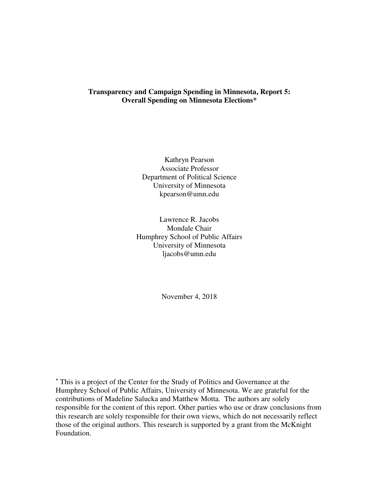## **Transparency and Campaign Spending in Minnesota, Report 5: Overall Spending on Minnesota Elections\***

Kathryn Pearson Associate Professor Department of Political Science University of Minnesota kpearson@umn.edu

Lawrence R. Jacobs Mondale Chair Humphrey School of Public Affairs University of Minnesota ljacobs@umn.edu

November 4, 2018

**\*** This is a project of the Center for the Study of Politics and Governance at the Humphrey School of Public Affairs, University of Minnesota. We are grateful for the contributions of Madeline Salucka and Matthew Motta. The authors are solely responsible for the content of this report. Other parties who use or draw conclusions from this research are solely responsible for their own views, which do not necessarily reflect those of the original authors. This research is supported by a grant from the McKnight Foundation.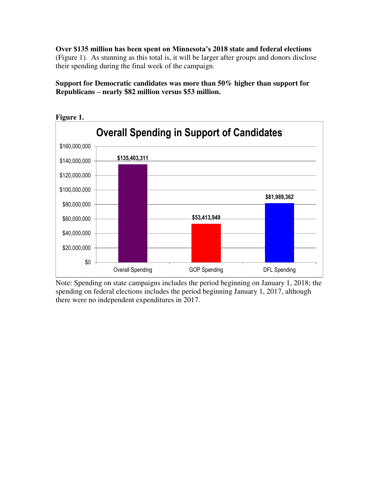**Over \$135 million has been spent on Minnesota's 2018 state and federal elections** (Figure 1). As stunning as this total is, it will be larger after groups and donors disclose their spending during the final week of the campaign.

**Support for Democratic candidates was more than 50% higher than support for Republicans – nearly \$82 million versus \$53 million.** 



Note: Spending on state campaigns includes the period beginning on January 1, 2018; the spending on federal elections includes the period beginning January 1, 2017, although there were no independent expenditures in 2017.